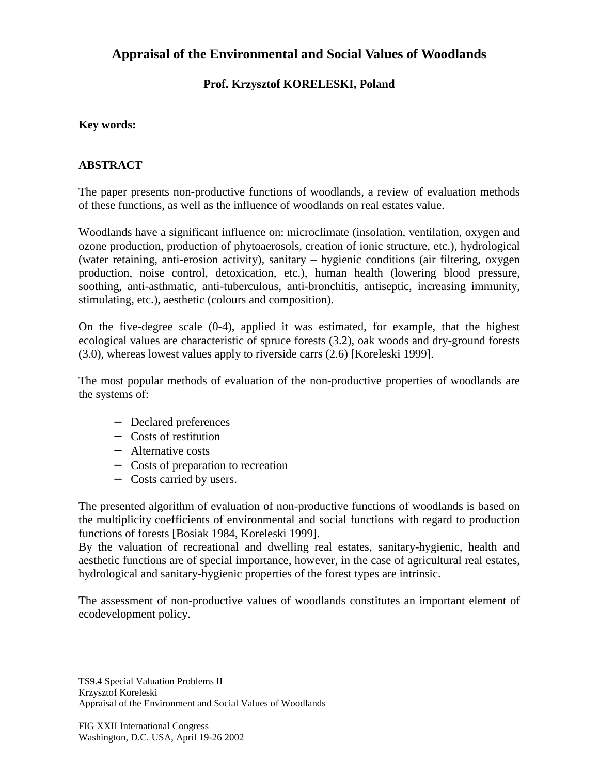# **Appraisal of the Environmental and Social Values of Woodlands**

### **Prof. Krzysztof KORELESKI, Poland**

#### **Key words:**

#### **ABSTRACT**

The paper presents non-productive functions of woodlands, a review of evaluation methods of these functions, as well as the influence of woodlands on real estates value.

Woodlands have a significant influence on: microclimate (insolation, ventilation, oxygen and ozone production, production of phytoaerosols, creation of ionic structure, etc.), hydrological (water retaining, anti-erosion activity), sanitary – hygienic conditions (air filtering, oxygen production, noise control, detoxication, etc.), human health (lowering blood pressure, soothing, anti-asthmatic, anti-tuberculous, anti-bronchitis, antiseptic, increasing immunity, stimulating, etc.), aesthetic (colours and composition).

On the five-degree scale (0-4), applied it was estimated, for example, that the highest ecological values are characteristic of spruce forests (3.2), oak woods and dry-ground forests (3.0), whereas lowest values apply to riverside carrs (2.6) [Koreleski 1999].

The most popular methods of evaluation of the non-productive properties of woodlands are the systems of:

- − Declared preferences
- − Costs of restitution
- − Alternative costs
- − Costs of preparation to recreation
- − Costs carried by users.

The presented algorithm of evaluation of non-productive functions of woodlands is based on the multiplicity coefficients of environmental and social functions with regard to production functions of forests [Bosiak 1984, Koreleski 1999].

By the valuation of recreational and dwelling real estates, sanitary-hygienic, health and aesthetic functions are of special importance, however, in the case of agricultural real estates, hydrological and sanitary-hygienic properties of the forest types are intrinsic.

The assessment of non-productive values of woodlands constitutes an important element of ecodevelopment policy.